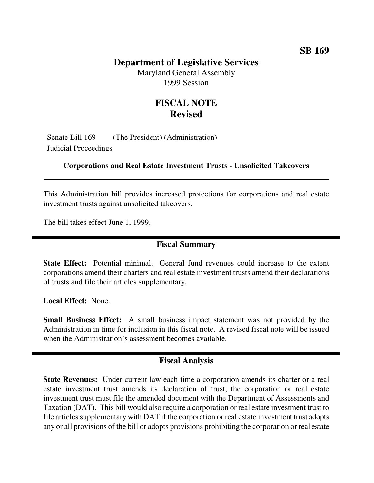# **SB 169**

# **Department of Legislative Services**

Maryland General Assembly 1999 Session

# **FISCAL NOTE Revised**

Senate Bill 169 (The President) (Administration) Judicial Proceedings

#### **Corporations and Real Estate Investment Trusts - Unsolicited Takeovers**

This Administration bill provides increased protections for corporations and real estate investment trusts against unsolicited takeovers.

The bill takes effect June 1, 1999.

# **Fiscal Summary**

**State Effect:** Potential minimal. General fund revenues could increase to the extent corporations amend their charters and real estate investment trusts amend their declarations of trusts and file their articles supplementary.

**Local Effect:** None.

**Small Business Effect:** A small business impact statement was not provided by the Administration in time for inclusion in this fiscal note. A revised fiscal note will be issued when the Administration's assessment becomes available.

### **Fiscal Analysis**

**State Revenues:** Under current law each time a corporation amends its charter or a real estate investment trust amends its declaration of trust, the corporation or real estate investment trust must file the amended document with the Department of Assessments and Taxation (DAT). This bill would also require a corporation or real estate investment trust to file articles supplementary with DAT if the corporation or real estate investment trust adopts any or all provisions of the bill or adopts provisions prohibiting the corporation or real estate